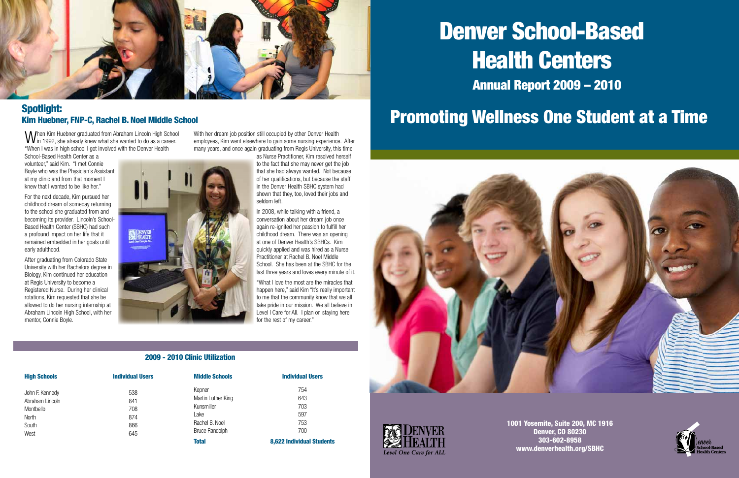

### Spotlight: Kim Huebner, FNP-C, Rachel B. Noel Middle School

**BARRATH** 

| <b>High Schools</b> | <b>Individual Users</b> |
|---------------------|-------------------------|
| John F. Kennedy     | 538                     |
| Abraham Lincoln     | 841                     |
| Montbello           | 708                     |
| <b>North</b>        | 874                     |
| South               | 866                     |
| West                | 645                     |
|                     |                         |

| Total                 | 8.622 Individua |
|-----------------------|-----------------|
| <b>Bruce Randolph</b> | 700             |
| Rachel B. Noel        | 753             |
| Lake                  | 597             |
| Kunsmiller            | 703             |
| Martin Luther King    | 643             |
| Kepner                | 754             |
|                       |                 |

When Kim Huebner graduated from Abraham Lincoln High School<br>Win 1992, she already knew what she wanted to do as a career. "When I was in high school I got involved with the Denver Health

| Total          | <b>8,622 Individual Students</b> |
|----------------|----------------------------------|
| Bruce Randolph | 700                              |
| Rachel B. Noel | 753                              |
| Lant           | .151                             |

**Middle Schools Individual Users** 

#### 2009 - 2010 Clinic Utilization

School-Based Health Center as a volunteer," said Kim. "I met Connie Boyle who was the Physician's Assistant at my clinic and from that moment I knew that I wanted to be like her."

With her dream job position still occupied by other Denver Health employees, Kim went elsewhere to gain some nursing experience. After many years, and once again graduating from Regis University, this time

For the next decade, Kim pursued her childhood dream of someday returning to the school she graduated from and becoming its provider. Lincoln's School-Based Health Center (SBHC) had such a profound impact on her life that it remained embedded in her goals until early adulthood.

After graduating from Colorado State University with her Bachelors degree in Biology, Kim continued her education at Regis University to become a Registered Nurse. During her clinical rotations, Kim requested that she be allowed to do her nursing internship at Abraham Lincoln High School, with her mentor, Connie Boyle.

as Nurse Practitioner, Kim resolved herself to the fact that she may never get the job that she had always wanted. Not because of her qualifications, but because the staff in the Denver Health SBHC system had shown that they, too, loved their jobs and seldom left.

In 2008, while talking with a friend, a conversation about her dream job once again re-ignited her passion to fulfill her childhood dream. There was an opening at one of Denver Health's SBHCs. Kim quickly applied and was hired as a Nurse Practitioner at Rachel B. Noel Middle School. She has been at the SBHC for the last three years and loves every minute of it.

"What I love the most are the miracles that happen here," said Kim "It's really important to me that the community know that we all take pride in our mission. We all believe in Level I Care for All. I plan on staying here for the rest of my career."

# Annual Report 2009 – 2010 Health Centers

1001 Yosemite, Suite 200, MC 1916 Denver, CO 80230 303-602-8958 www.denverhealth.org/SBHC



# Denver School-Based Promoting Wellness One Student at a Time